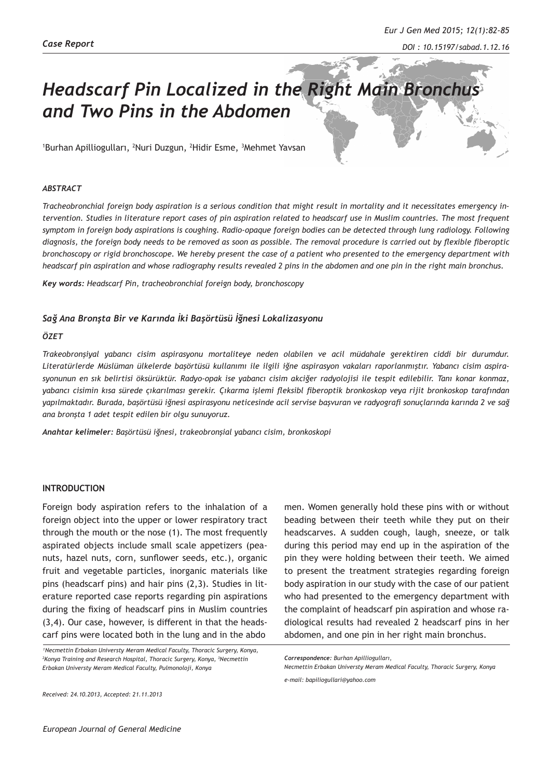# *Headscarf Pin Localized in the Right Main Bronchus and Two Pins in the Abdomen*

<sup>1</sup>Burhan Apilliogulları, <sup>2</sup>Nuri Duzgun, <sup>2</sup>Hidir Esme, <sup>3</sup>Mehmet Yavsan

#### *ABSTRACT*

*Tracheobronchial foreign body aspiration is a serious condition that might result in mortality and it necessitates emergency intervention. Studies in literature report cases of pin aspiration related to headscarf use in Muslim countries. The most frequent symptom in foreign body aspirations is coughing. Radio-opaque foreign bodies can be detected through lung radiology. Following diagnosis, the foreign body needs to be removed as soon as possible. The removal procedure is carried out by flexible fiberoptic bronchoscopy or rigid bronchoscope. We hereby present the case of a patient who presented to the emergency department with headscarf pin aspiration and whose radiography results revealed 2 pins in the abdomen and one pin in the right main bronchus.*

*Key words: Headscarf Pin, tracheobronchial foreign body, bronchoscopy*

## *Sağ Ana Bronşta Bir ve Karında İki Başörtüsü İğnesi Lokalizasyonu*

## *ÖZET*

*Trakeobronşiyal yabancı cisim aspirasyonu mortaliteye neden olabilen ve acil müdahale gerektiren ciddi bir durumdur. Literatürlerde Müslüman ülkelerde başörtüsü kullanımı ile ilgili iğne aspirasyon vakaları raporlanmıştır. Yabancı cisim aspirasyonunun en sık belirtisi öksürüktür. Radyo-opak ise yabancı cisim akciğer radyolojisi ile tespit edilebilir. Tanı konar konmaz, yabancı cisimin kısa sürede çıkarılması gerekir. Çıkarma işlemi fleksibl fiberoptik bronkoskop veya rijit bronkoskop tarafından yapılmaktadır. Burada, başörtüsü iğnesi aspirasyonu neticesinde acil servise başvuran ve radyografi sonuçlarında karında 2 ve sağ ana bronşta 1 adet tespit edilen bir olgu sunuyoruz.*

*Anahtar kelimeler: Başörtüsü iğnesi, trakeobronşial yabancı cisim, bronkoskopi*

#### **INTRODUCTION**

Foreign body aspiration refers to the inhalation of a foreign object into the upper or lower respiratory tract through the mouth or the nose (1). The most frequently aspirated objects include small scale appetizers (peanuts, hazel nuts, corn, sunflower seeds, etc.), organic fruit and vegetable particles, inorganic materials like pins (headscarf pins) and hair pins (2,3). Studies in literature reported case reports regarding pin aspirations during the fixing of headscarf pins in Muslim countries (3,4). Our case, however, is different in that the headscarf pins were located both in the lung and in the abdo

men. Women generally hold these pins with or without beading between their teeth while they put on their headscarves. A sudden cough, laugh, sneeze, or talk during this period may end up in the aspiration of the pin they were holding between their teeth. We aimed to present the treatment strategies regarding foreign body aspiration in our study with the case of our patient who had presented to the emergency department with the complaint of headscarf pin aspiration and whose radiological results had revealed 2 headscarf pins in her abdomen, and one pin in her right main bronchus.

<sup>&</sup>lt;sup>1</sup>Necmettin Erbakan Universty Meram Medical Faculty, Thoracic Surgery, Konya, *2 Konya Training and Research Hospital, Thoracic Surgery, Konya, 3 Necmettin Erbakan Universty Meram Medical Faculty, Pulmonoloji, Konya*

*Correspondence: Burhan Apilliogulları,* 

*Necmettin Erbakan Universty Meram Medical Faculty, Thoracic Surgery, Konya*

*e-mail: bapiliogullari@yahoo.com*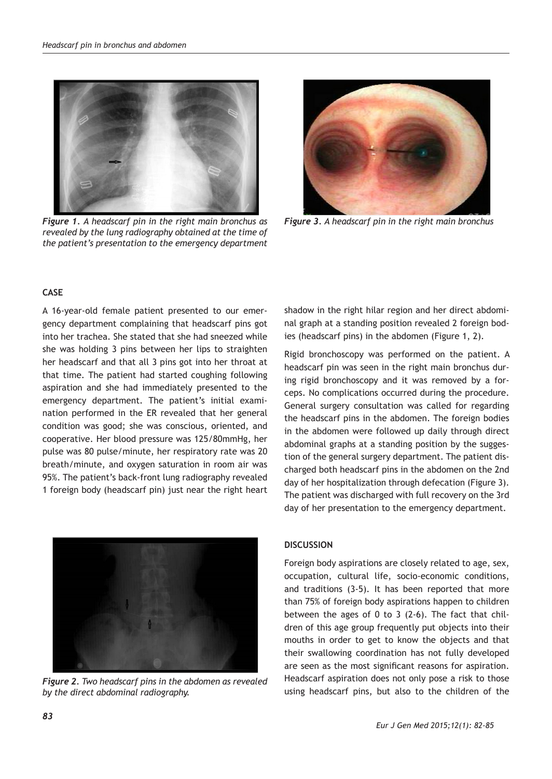

*Figure 1. A headscarf pin in the right main bronchus as revealed by the lung radiography obtained at the time of the patient's presentation to the emergency department*



*Figure 3. A headscarf pin in the right main bronchus*

# **CASE**

A 16-year-old female patient presented to our emergency department complaining that headscarf pins got into her trachea. She stated that she had sneezed while she was holding 3 pins between her lips to straighten her headscarf and that all 3 pins got into her throat at that time. The patient had started coughing following aspiration and she had immediately presented to the emergency department. The patient's initial examination performed in the ER revealed that her general condition was good; she was conscious, oriented, and cooperative. Her blood pressure was 125/80mmHg, her pulse was 80 pulse/minute, her respiratory rate was 20 breath/minute, and oxygen saturation in room air was 95%. The patient's back-front lung radiography revealed 1 foreign body (headscarf pin) just near the right heart



*Figure 2. Two headscarf pins in the abdomen as revealed by the direct abdominal radiography.*

shadow in the right hilar region and her direct abdominal graph at a standing position revealed 2 foreign bodies (headscarf pins) in the abdomen (Figure 1, 2).

Rigid bronchoscopy was performed on the patient. A headscarf pin was seen in the right main bronchus during rigid bronchoscopy and it was removed by a forceps. No complications occurred during the procedure. General surgery consultation was called for regarding the headscarf pins in the abdomen. The foreign bodies in the abdomen were followed up daily through direct abdominal graphs at a standing position by the suggestion of the general surgery department. The patient discharged both headscarf pins in the abdomen on the 2nd day of her hospitalization through defecation (Figure 3). The patient was discharged with full recovery on the 3rd day of her presentation to the emergency department.

#### **DISCUSSION**

Foreign body aspirations are closely related to age, sex, occupation, cultural life, socio-economic conditions, and traditions (3-5). It has been reported that more than 75% of foreign body aspirations happen to children between the ages of 0 to 3 (2-6). The fact that children of this age group frequently put objects into their mouths in order to get to know the objects and that their swallowing coordination has not fully developed are seen as the most significant reasons for aspiration. Headscarf aspiration does not only pose a risk to those using headscarf pins, but also to the children of the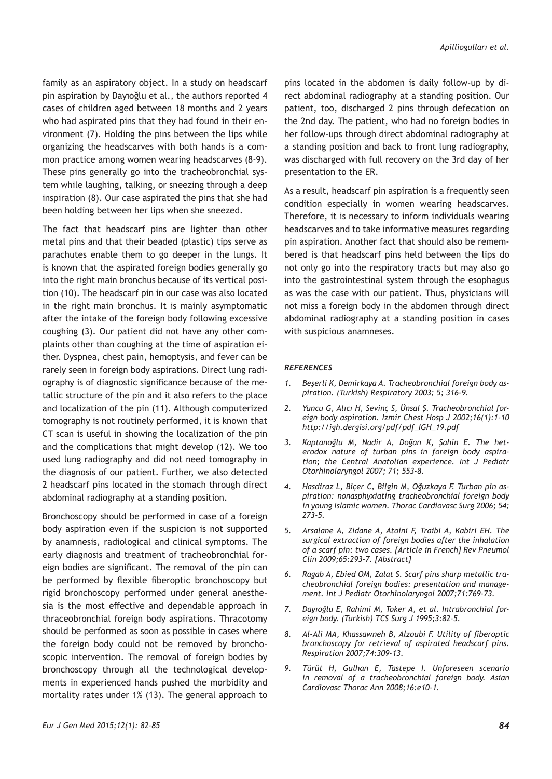family as an aspiratory object. In a study on headscarf pin aspiration by Dayıoğlu et al., the authors reported 4 cases of children aged between 18 months and 2 years who had aspirated pins that they had found in their environment (7). Holding the pins between the lips while organizing the headscarves with both hands is a common practice among women wearing headscarves (8-9). These pins generally go into the tracheobronchial system while laughing, talking, or sneezing through a deep inspiration (8). Our case aspirated the pins that she had been holding between her lips when she sneezed.

The fact that headscarf pins are lighter than other metal pins and that their beaded (plastic) tips serve as parachutes enable them to go deeper in the lungs. It is known that the aspirated foreign bodies generally go into the right main bronchus because of its vertical position (10). The headscarf pin in our case was also located in the right main bronchus. It is mainly asymptomatic after the intake of the foreign body following excessive coughing (3). Our patient did not have any other complaints other than coughing at the time of aspiration either. Dyspnea, chest pain, hemoptysis, and fever can be rarely seen in foreign body aspirations. Direct lung radiography is of diagnostic significance because of the metallic structure of the pin and it also refers to the place and localization of the pin (11). Although computerized tomography is not routinely performed, it is known that CT scan is useful in showing the localization of the pin and the complications that might develop (12). We too used lung radiography and did not need tomography in the diagnosis of our patient. Further, we also detected 2 headscarf pins located in the stomach through direct abdominal radiography at a standing position.

Bronchoscopy should be performed in case of a foreign body aspiration even if the suspicion is not supported by anamnesis, radiological and clinical symptoms. The early diagnosis and treatment of tracheobronchial foreign bodies are significant. The removal of the pin can be performed by flexible fiberoptic bronchoscopy but rigid bronchoscopy performed under general anesthesia is the most effective and dependable approach in thraceobronchial foreign body aspirations. Thracotomy should be performed as soon as possible in cases where the foreign body could not be removed by bronchoscopic intervention. The removal of foreign bodies by bronchoscopy through all the technological developments in experienced hands pushed the morbidity and mortality rates under 1% (13). The general approach to

pins located in the abdomen is daily follow-up by direct abdominal radiography at a standing position. Our patient, too, discharged 2 pins through defecation on the 2nd day. The patient, who had no foreign bodies in her follow-ups through direct abdominal radiography at a standing position and back to front lung radiography, was discharged with full recovery on the 3rd day of her presentation to the ER.

As a result, headscarf pin aspiration is a frequently seen condition especially in women wearing headscarves. Therefore, it is necessary to inform individuals wearing headscarves and to take informative measures regarding pin aspiration. Another fact that should also be remembered is that headscarf pins held between the lips do not only go into the respiratory tracts but may also go into the gastrointestinal system through the esophagus as was the case with our patient. Thus, physicians will not miss a foreign body in the abdomen through direct abdominal radiography at a standing position in cases with suspicious anamneses.

#### *REFERENCES*

- *1. Beşerli K, Demirkaya A. Tracheobronchial foreign body aspiration. (Turkish) Respiratory 2003; 5; 316-9.*
- *2. Yuncu G, Alıcı H, Sevinç S, Ünsal Ş. Tracheobronchial foreign body aspiration. Izmir Chest Hosp J 2002;16(1):1-10 http://igh.dergisi.org/pdf/pdf\_IGH\_19.pdf*
- *3. Kaptanoğlu M, Nadir A, Doğan K, Şahin E. The heterodox nature of turban pins in foreign body aspiration; the Central Anatolian experience. Int J Pediatr Otorhinolaryngol 2007; 71; 553-8.*
- *4. Hasdiraz L, Biçer C, Bilgin M, Oğuzkaya F. Turban pin aspiration: nonasphyxiating tracheobronchial foreign body in young Islamic women. Thorac Cardiovasc Surg 2006; 54; 273-5.*
- *5. Arsalane A, Zidane A, Atoini F, Traibi A, Kabiri EH. The surgical extraction of foreign bodies after the inhalation of a scarf pin: two cases. [Article in French] Rev Pneumol Clin 2009;65:293-7. [Abstract]*
- *6. Ragab A, Ebied OM, Zalat S. Scarf pins sharp metallic tracheobronchial foreign bodies: presentation and management. Int J Pediatr Otorhinolaryngol 2007;71:769-73.*
- *7. Dayıoğlu E, Rahimi M, Toker A, et al. Intrabronchial foreign body. (Turkish) TCS Surg J 1995;3:82-5.*
- *8. Al-Ali MA, Khassawneh B, Alzoubi F. Utility of fiberoptic bronchoscopy for retrieval of aspirated headscarf pins. Respiration 2007;74:309-13.*
- *9. Türüt H, Gulhan E, Tastepe I. Unforeseen scenario in removal of a tracheobronchial foreign body. Asian Cardiovasc Thorac Ann 2008;16:e10-1.*